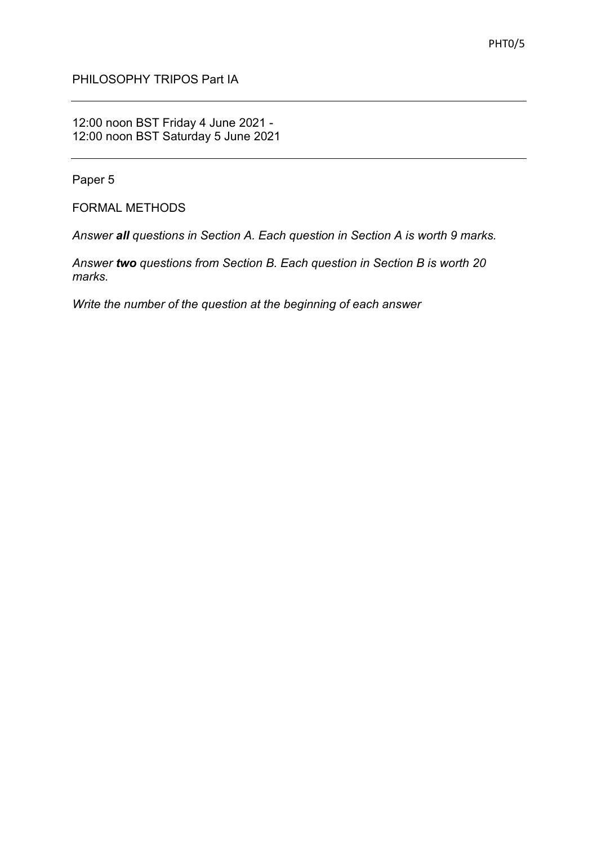## PHILOSOPHY TRIPOS Part IA

## 12:00 noon BST Friday 4 June 2021 - 12:00 noon BST Saturday 5 June 2021

Paper 5

FORMAL METHODS

*Answer all questions in Section A. Each question in Section A is worth 9 marks.*

*Answer two questions from Section B. Each question in Section B is worth 20 marks.*

*Write the number of the question at the beginning of each answer*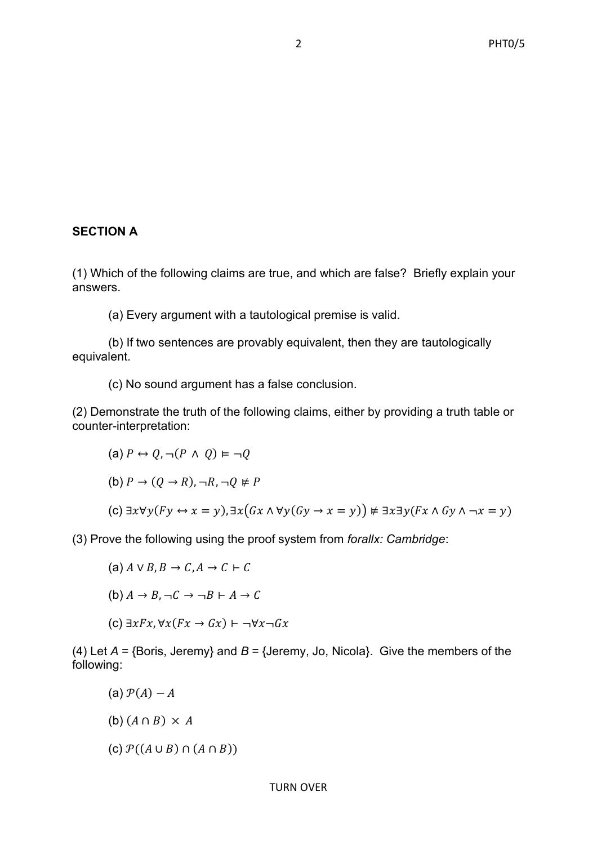# **SECTION A**

(1) Which of the following claims are true, and which are false? Briefly explain your answers.

(a) Every argument with a tautological premise is valid.

(b) If two sentences are provably equivalent, then they are tautologically equivalent.

(c) No sound argument has a false conclusion.

(2) Demonstrate the truth of the following claims, either by providing a truth table or counter-interpretation:

(a) 
$$
P \leftrightarrow Q, \neg(P \land Q) \vDash \neg Q
$$

(b) 
$$
P \rightarrow (Q \rightarrow R), \neg R, \neg Q \not\models P
$$

(c)  $\exists x \forall y (Fy \leftrightarrow x = y), \exists x (Gx \land \forall y (Gy \rightarrow x = y)) \not\equiv \exists x \exists y (Fx \land Gy \land \neg x = y)$ 

(3) Prove the following using the proof system from *forallx: Cambridge*:

(a) 
$$
A \lor B, B \to C, A \to C \vdash C
$$

(b) 
$$
A \rightarrow B
$$
,  $\neg C \rightarrow \neg B \vdash A \rightarrow C$ 

(c)  $\exists x Fx, \forall x (Fx \rightarrow Gx) \vdash \neg \forall x \neg Gx$ 

(4) Let *A* = {Boris, Jeremy} and *B* = {Jeremy, Jo, Nicola}. Give the members of the following:

- (a)  $\mathcal{P}(A) A$
- (b)  $(A \cap B) \times A$
- (c)  $\mathcal{P}((A \cup B) \cap (A \cap B))$

#### TURN OVER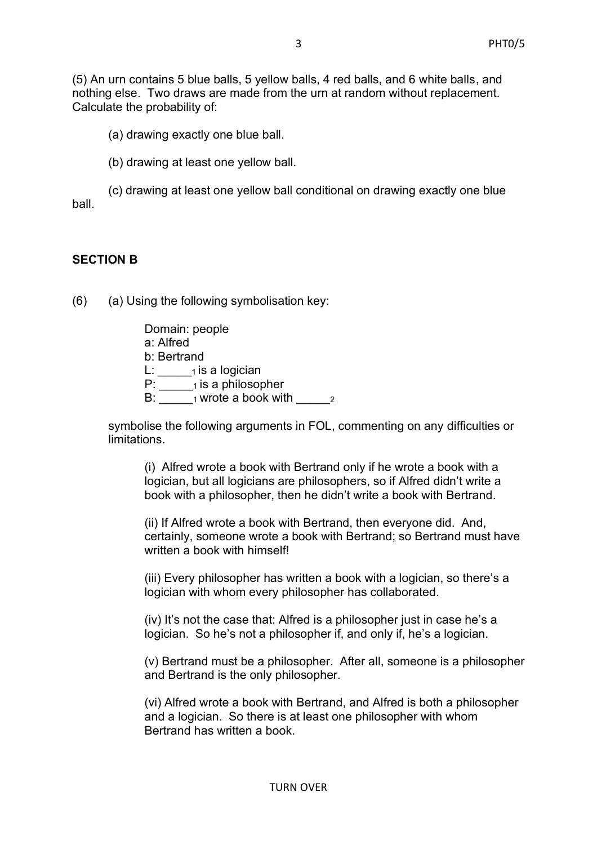(5) An urn contains 5 blue balls, 5 yellow balls, 4 red balls, and 6 white balls, and nothing else. Two draws are made from the urn at random without replacement. Calculate the probability of:

(a) drawing exactly one blue ball.

(b) drawing at least one yellow ball.

(c) drawing at least one yellow ball conditional on drawing exactly one blue ball.

#### **SECTION B**

(6) (a) Using the following symbolisation key:

Domain: people a: Alfred b: Bertrand  $L: \underline{\hspace{2cm}}$ <sup>1</sup> is a logician P: \_\_\_\_\_1 is a philosopher B:  $_1$  wrote a book with  $_2$ 

symbolise the following arguments in FOL, commenting on any difficulties or limitations.

(i) Alfred wrote a book with Bertrand only if he wrote a book with a logician, but all logicians are philosophers, so if Alfred didn't write a book with a philosopher, then he didn't write a book with Bertrand.

(ii) If Alfred wrote a book with Bertrand, then everyone did. And, certainly, someone wrote a book with Bertrand; so Bertrand must have written a book with himself!

(iii) Every philosopher has written a book with a logician, so there's a logician with whom every philosopher has collaborated.

(iv) It's not the case that: Alfred is a philosopher just in case he's a logician. So he's not a philosopher if, and only if, he's a logician.

(v) Bertrand must be a philosopher. After all, someone is a philosopher and Bertrand is the only philosopher.

(vi) Alfred wrote a book with Bertrand, and Alfred is both a philosopher and a logician. So there is at least one philosopher with whom Bertrand has written a book.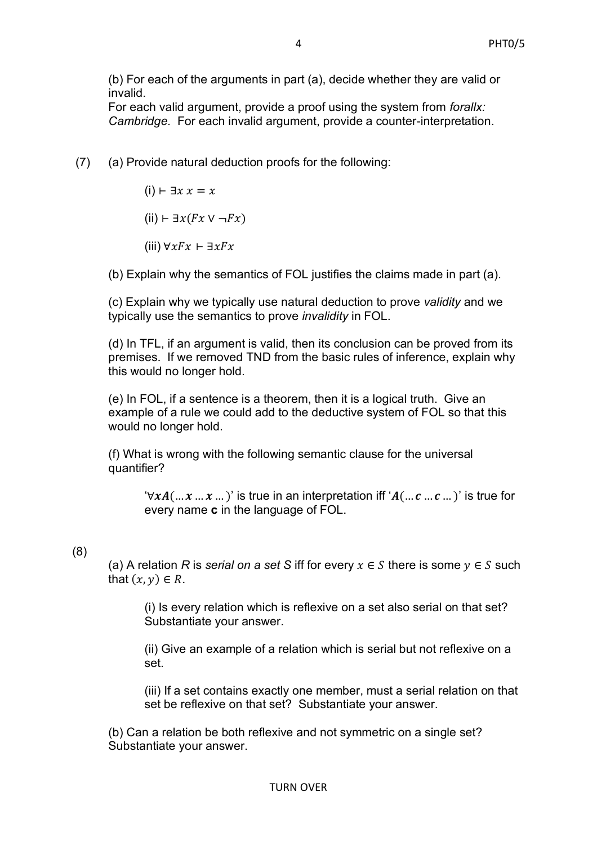(b) For each of the arguments in part (a), decide whether they are valid or invalid.

For each valid argument, provide a proof using the system from *forallx: Cambridge.* For each invalid argument, provide a counter-interpretation.

(7) (a) Provide natural deduction proofs for the following:

 $(i)$  ⊢ ∃ $x$   $x = x$ 

(ii) ⊢ ∃ $x$ ( $Fx$   $\vee$   $\neg Fx$ )

(iii)  $\forall x F x \vdash \exists x F x$ 

(b) Explain why the semantics of FOL justifies the claims made in part (a).

(c) Explain why we typically use natural deduction to prove *validity* and we typically use the semantics to prove *invalidity* in FOL.

(d) In TFL, if an argument is valid, then its conclusion can be proved from its premises. If we removed TND from the basic rules of inference, explain why this would no longer hold.

(e) In FOL, if a sentence is a theorem, then it is a logical truth. Give an example of a rule we could add to the deductive system of FOL so that this would no longer hold.

(f) What is wrong with the following semantic clause for the universal quantifier?

 $\forall x A(... x ... x ...)$ ' is true in an interpretation iff  $A(... c ... c ...)$ ' is true for every name **c** in the language of FOL.

# (8)

(a) A relation *R* is *serial on a set S* iff for every  $x \in S$  there is some  $y \in S$  such that  $(x, y) \in R$ .

(i) Is every relation which is reflexive on a set also serial on that set? Substantiate your answer.

(ii) Give an example of a relation which is serial but not reflexive on a set.

(iii) If a set contains exactly one member, must a serial relation on that set be reflexive on that set? Substantiate your answer.

(b) Can a relation be both reflexive and not symmetric on a single set? Substantiate your answer.

 $\Delta$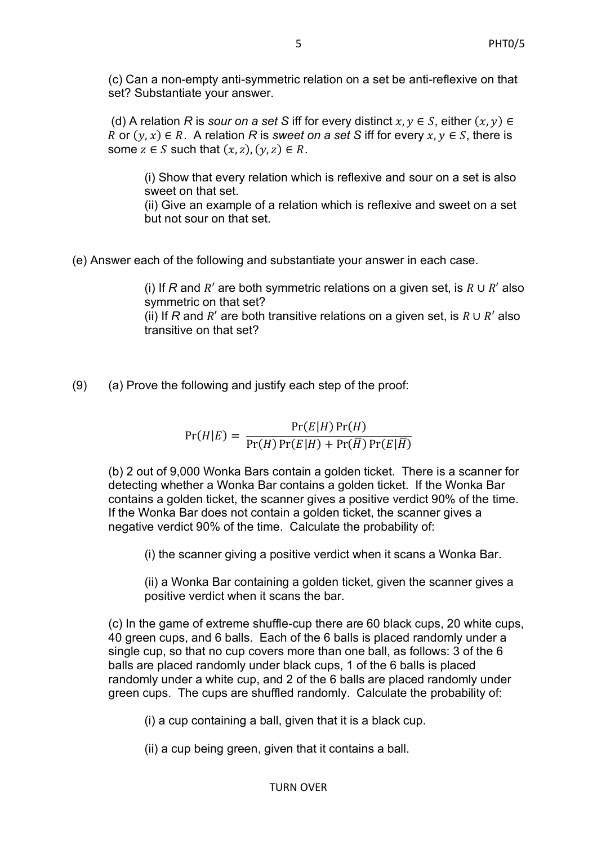(c) Can a non-empty anti-symmetric relation on a set be anti-reflexive on that set? Substantiate your answer.

(d) A relation *R* is *sour on a set S* iff for every distinct  $x, y \in S$ , either  $(x, y) \in$ R or  $(y, x) \in R$ . A relation R is *sweet on a set S* iff for every  $x, y \in S$ , there is some  $z \in S$  such that  $(x, z)$ ,  $(y, z) \in R$ .

(i) Show that every relation which is reflexive and sour on a set is also sweet on that set.

(ii) Give an example of a relation which is reflexive and sweet on a set but not sour on that set.

(e) Answer each of the following and substantiate your answer in each case.

(i) If *R* and  $R'$  are both symmetric relations on a given set, is  $R \cup R'$  also symmetric on that set? (ii) If *R* and  $R'$  are both transitive relations on a given set, is  $R \cup R'$  also

(9) (a) Prove the following and justify each step of the proof:

transitive on that set?

 $Pr(H|E) = \frac{Pr(E|H)Pr(H)}{Pr(E|H)Pr(H)}$  $Pr(H) Pr(E|H) + Pr(\overline{H}) Pr(E|\overline{H})$ 

(b) 2 out of 9,000 Wonka Bars contain a golden ticket. There is a scanner for detecting whether a Wonka Bar contains a golden ticket. If the Wonka Bar contains a golden ticket, the scanner gives a positive verdict 90% of the time. If the Wonka Bar does not contain a golden ticket, the scanner gives a negative verdict 90% of the time. Calculate the probability of:

(i) the scanner giving a positive verdict when it scans a Wonka Bar.

(ii) a Wonka Bar containing a golden ticket, given the scanner gives a positive verdict when it scans the bar.

(c) In the game of extreme shuffle-cup there are 60 black cups, 20 white cups, 40 green cups, and 6 balls. Each of the 6 balls is placed randomly under a single cup, so that no cup covers more than one ball, as follows: 3 of the 6 balls are placed randomly under black cups, 1 of the 6 balls is placed randomly under a white cup, and 2 of the 6 balls are placed randomly under green cups. The cups are shuffled randomly. Calculate the probability of:

(i) a cup containing a ball, given that it is a black cup.

(ii) a cup being green, given that it contains a ball.